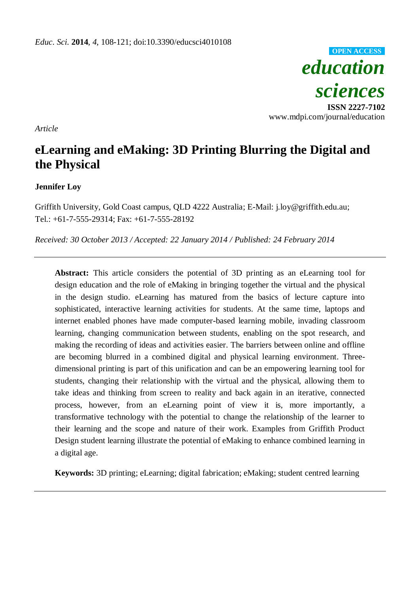*education sciences* **ISSN 2227-7102** www.mdpi.com/journal/education **OPEN ACCESS**

*Article*

# **eLearning and eMaking: 3D Printing Blurring the Digital and the Physical**

# **Jennifer Loy**

Griffith University, Gold Coast campus, QLD 4222 Australia; E-Mail: j.loy@griffith.edu.au; Tel.: +61-7-555-29314; Fax: +61-7-555-28192

*Received: 30 October 2013 / Accepted: 22 January 2014 / Published: 24 February 2014*

**Abstract:** This article considers the potential of 3D printing as an eLearning tool for design education and the role of eMaking in bringing together the virtual and the physical in the design studio. eLearning has matured from the basics of lecture capture into sophisticated, interactive learning activities for students. At the same time, laptops and internet enabled phones have made computer-based learning mobile, invading classroom learning, changing communication between students, enabling on the spot research, and making the recording of ideas and activities easier. The barriers between online and offline are becoming blurred in a combined digital and physical learning environment. Threedimensional printing is part of this unification and can be an empowering learning tool for students, changing their relationship with the virtual and the physical, allowing them to take ideas and thinking from screen to reality and back again in an iterative, connected process, however, from an eLearning point of view it is, more importantly, a transformative technology with the potential to change the relationship of the learner to their learning and the scope and nature of their work. Examples from Griffith Product Design student learning illustrate the potential of eMaking to enhance combined learning in a digital age.

**Keywords:** 3D printing; eLearning; digital fabrication; eMaking; student centred learning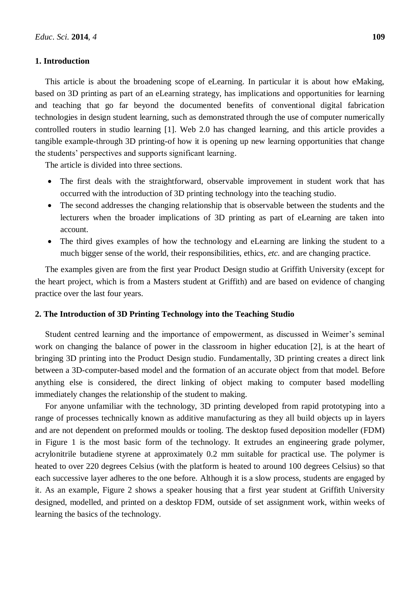### **1. Introduction**

This article is about the broadening scope of eLearning. In particular it is about how eMaking, based on 3D printing as part of an eLearning strategy, has implications and opportunities for learning and teaching that go far beyond the documented benefits of conventional digital fabrication technologies in design student learning, such as demonstrated through the use of computer numerically controlled routers in studio learning [1]. Web 2.0 has changed learning, and this article provides a tangible example-through 3D printing-of how it is opening up new learning opportunities that change the students' perspectives and supports significant learning.

The article is divided into three sections.

- The first deals with the straightforward, observable improvement in student work that has occurred with the introduction of 3D printing technology into the teaching studio.
- The second addresses the changing relationship that is observable between the students and the lecturers when the broader implications of 3D printing as part of eLearning are taken into account.
- The third gives examples of how the technology and eLearning are linking the student to a much bigger sense of the world, their responsibilities, ethics, *etc.* and are changing practice.

The examples given are from the first year Product Design studio at Griffith University (except for the heart project, which is from a Masters student at Griffith) and are based on evidence of changing practice over the last four years.

# **2. The Introduction of 3D Printing Technology into the Teaching Studio**

Student centred learning and the importance of empowerment, as discussed in Weimer's seminal work on changing the balance of power in the classroom in higher education [2], is at the heart of bringing 3D printing into the Product Design studio. Fundamentally, 3D printing creates a direct link between a 3D-computer-based model and the formation of an accurate object from that model. Before anything else is considered, the direct linking of object making to computer based modelling immediately changes the relationship of the student to making.

For anyone unfamiliar with the technology, 3D printing developed from rapid prototyping into a range of processes technically known as additive manufacturing as they all build objects up in layers and are not dependent on preformed moulds or tooling. The desktop fused deposition modeller (FDM) in Figure 1 is the most basic form of the technology. It extrudes an engineering grade polymer, acrylonitrile butadiene styrene at approximately 0.2 mm suitable for practical use. The polymer is heated to over 220 degrees Celsius (with the platform is heated to around 100 degrees Celsius) so that each successive layer adheres to the one before. Although it is a slow process, students are engaged by it. As an example, Figure 2 shows a speaker housing that a first year student at Griffith University designed, modelled, and printed on a desktop FDM, outside of set assignment work, within weeks of learning the basics of the technology.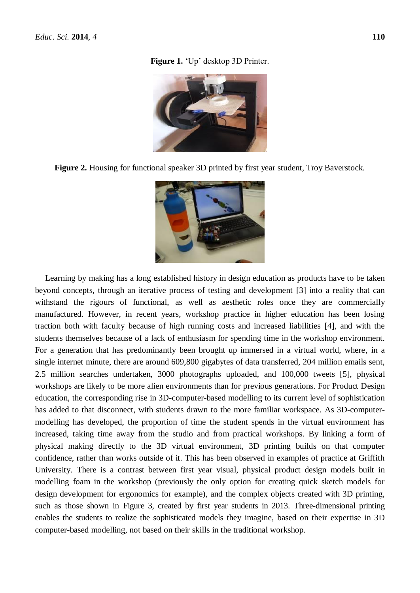#### **Figure 1.** 'Up' desktop 3D Printer.







Learning by making has a long established history in design education as products have to be taken beyond concepts, through an iterative process of testing and development [3] into a reality that can withstand the rigours of functional, as well as aesthetic roles once they are commercially manufactured. However, in recent years, workshop practice in higher education has been losing traction both with faculty because of high running costs and increased liabilities [4], and with the students themselves because of a lack of enthusiasm for spending time in the workshop environment. For a generation that has predominantly been brought up immersed in a virtual world, where, in a single internet minute, there are around 609,800 gigabytes of data transferred, 204 million emails sent, 2.5 million searches undertaken, 3000 photographs uploaded, and 100,000 tweets [5], physical workshops are likely to be more alien environments than for previous generations. For Product Design education, the corresponding rise in 3D-computer-based modelling to its current level of sophistication has added to that disconnect, with students drawn to the more familiar workspace. As 3D-computermodelling has developed, the proportion of time the student spends in the virtual environment has increased, taking time away from the studio and from practical workshops. By linking a form of physical making directly to the 3D virtual environment, 3D printing builds on that computer confidence, rather than works outside of it. This has been observed in examples of practice at Griffith University. There is a contrast between first year visual, physical product design models built in modelling foam in the workshop (previously the only option for creating quick sketch models for design development for ergonomics for example), and the complex objects created with 3D printing, such as those shown in Figure 3, created by first year students in 2013. Three-dimensional printing enables the students to realize the sophisticated models they imagine, based on their expertise in 3D computer-based modelling, not based on their skills in the traditional workshop.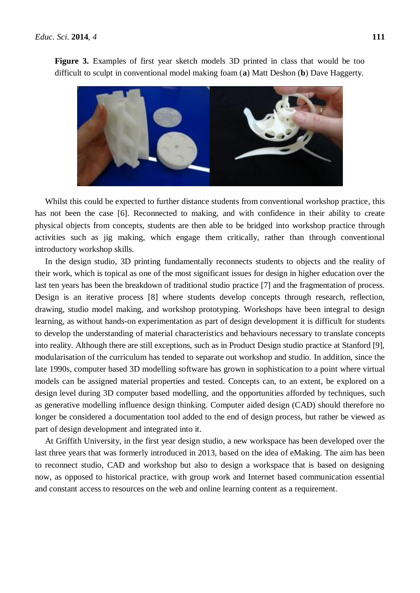

**Figure 3.** Examples of first year sketch models 3D printed in class that would be too difficult to sculpt in conventional model making foam (**a**) Matt Deshon (**b**) Dave Haggerty.

Whilst this could be expected to further distance students from conventional workshop practice, this has not been the case [6]. Reconnected to making, and with confidence in their ability to create physical objects from concepts, students are then able to be bridged into workshop practice through activities such as jig making, which engage them critically, rather than through conventional introductory workshop skills.

In the design studio, 3D printing fundamentally reconnects students to objects and the reality of their work, which is topical as one of the most significant issues for design in higher education over the last ten years has been the breakdown of traditional studio practice [7] and the fragmentation of process. Design is an iterative process [8] where students develop concepts through research, reflection, drawing, studio model making, and workshop prototyping. Workshops have been integral to design learning, as without hands-on experimentation as part of design development it is difficult for students to develop the understanding of material characteristics and behaviours necessary to translate concepts into reality. Although there are still exceptions, such as in Product Design studio practice at Stanford [9], modularisation of the curriculum has tended to separate out workshop and studio. In addition, since the late 1990s, computer based 3D modelling software has grown in sophistication to a point where virtual models can be assigned material properties and tested. Concepts can, to an extent, be explored on a design level during 3D computer based modelling, and the opportunities afforded by techniques, such as generative modelling influence design thinking. Computer aided design (CAD) should therefore no longer be considered a documentation tool added to the end of design process, but rather be viewed as part of design development and integrated into it.

At Griffith University, in the first year design studio, a new workspace has been developed over the last three years that was formerly introduced in 2013, based on the idea of eMaking. The aim has been to reconnect studio, CAD and workshop but also to design a workspace that is based on designing now, as opposed to historical practice, with group work and Internet based communication essential and constant access to resources on the web and online learning content as a requirement.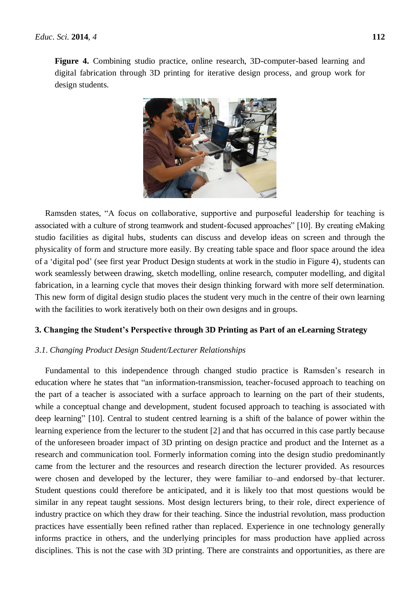**Figure 4.** Combining studio practice, online research, 3D-computer-based learning and digital fabrication through 3D printing for iterative design process, and group work for design students.



Ramsden states, "A focus on collaborative, supportive and purposeful leadership for teaching is associated with a culture of strong teamwork and student-focused approaches" [10]. By creating eMaking studio facilities as digital hubs, students can discuss and develop ideas on screen and through the physicality of form and structure more easily. By creating table space and floor space around the idea of a 'digital pod' (see first year Product Design students at work in the studio in Figure 4), students can work seamlessly between drawing, sketch modelling, online research, computer modelling, and digital fabrication, in a learning cycle that moves their design thinking forward with more self determination. This new form of digital design studio places the student very much in the centre of their own learning with the facilities to work iteratively both on their own designs and in groups.

# **3. Changing the Student's Perspective through 3D Printing as Part of an eLearning Strategy**

# *3*.*1*. *Changing Product Design Student/Lecturer Relationships*

Fundamental to this independence through changed studio practice is Ramsden's research in education where he states that "an information-transmission, teacher-focused approach to teaching on the part of a teacher is associated with a surface approach to learning on the part of their students, while a conceptual change and development, student focused approach to teaching is associated with deep learning" [10]. Central to student centred learning is a shift of the balance of power within the learning experience from the lecturer to the student [2] and that has occurred in this case partly because of the unforeseen broader impact of 3D printing on design practice and product and the Internet as a research and communication tool. Formerly information coming into the design studio predominantly came from the lecturer and the resources and research direction the lecturer provided. As resources were chosen and developed by the lecturer, they were familiar to–and endorsed by–that lecturer. Student questions could therefore be anticipated, and it is likely too that most questions would be similar in any repeat taught sessions. Most design lecturers bring, to their role, direct experience of industry practice on which they draw for their teaching. Since the industrial revolution, mass production practices have essentially been refined rather than replaced. Experience in one technology generally informs practice in others, and the underlying principles for mass production have applied across disciplines. This is not the case with 3D printing. There are constraints and opportunities, as there are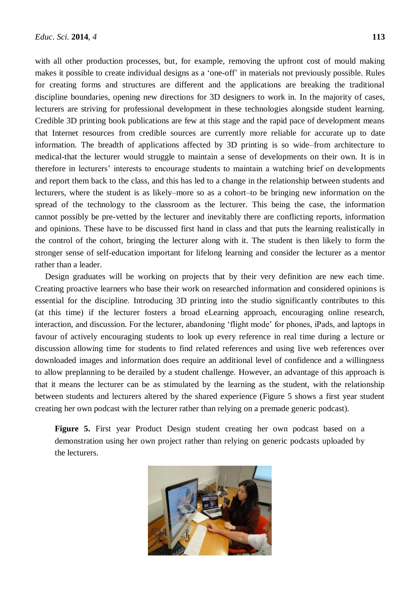with all other production processes, but, for example, removing the upfront cost of mould making makes it possible to create individual designs as a 'one-off' in materials not previously possible. Rules for creating forms and structures are different and the applications are breaking the traditional discipline boundaries, opening new directions for 3D designers to work in. In the majority of cases, lecturers are striving for professional development in these technologies alongside student learning. Credible 3D printing book publications are few at this stage and the rapid pace of development means that Internet resources from credible sources are currently more reliable for accurate up to date information. The breadth of applications affected by 3D printing is so wide–from architecture to medical-that the lecturer would struggle to maintain a sense of developments on their own. It is in therefore in lecturers' interests to encourage students to maintain a watching brief on developments and report them back to the class, and this has led to a change in the relationship between students and lecturers, where the student is as likely–more so as a cohort–to be bringing new information on the spread of the technology to the classroom as the lecturer. This being the case, the information cannot possibly be pre-vetted by the lecturer and inevitably there are conflicting reports, information and opinions. These have to be discussed first hand in class and that puts the learning realistically in the control of the cohort, bringing the lecturer along with it. The student is then likely to form the stronger sense of self-education important for lifelong learning and consider the lecturer as a mentor rather than a leader.

Design graduates will be working on projects that by their very definition are new each time. Creating proactive learners who base their work on researched information and considered opinions is essential for the discipline. Introducing 3D printing into the studio significantly contributes to this (at this time) if the lecturer fosters a broad eLearning approach, encouraging online research, interaction, and discussion. For the lecturer, abandoning 'flight mode' for phones, iPads, and laptops in favour of actively encouraging students to look up every reference in real time during a lecture or discussion allowing time for students to find related references and using live web references over downloaded images and information does require an additional level of confidence and a willingness to allow preplanning to be derailed by a student challenge. However, an advantage of this approach is that it means the lecturer can be as stimulated by the learning as the student, with the relationship between students and lecturers altered by the shared experience (Figure 5 shows a first year student creating her own podcast with the lecturer rather than relying on a premade generic podcast).

**Figure 5.** First year Product Design student creating her own podcast based on a demonstration using her own project rather than relying on generic podcasts uploaded by the lecturers.

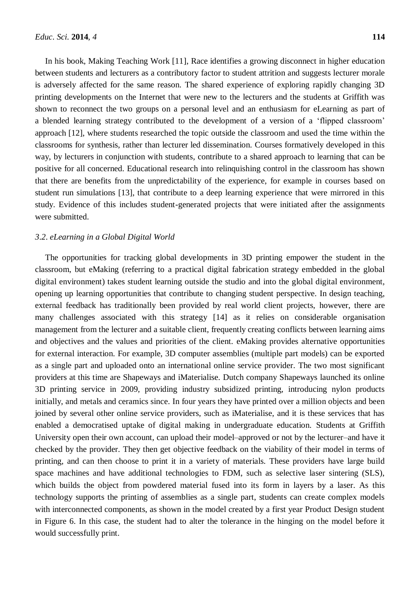In his book, Making Teaching Work [11], Race identifies a growing disconnect in higher education between students and lecturers as a contributory factor to student attrition and suggests lecturer morale is adversely affected for the same reason. The shared experience of exploring rapidly changing 3D printing developments on the Internet that were new to the lecturers and the students at Griffith was shown to reconnect the two groups on a personal level and an enthusiasm for eLearning as part of a blended learning strategy contributed to the development of a version of a 'flipped classroom' approach [12], where students researched the topic outside the classroom and used the time within the classrooms for synthesis, rather than lecturer led dissemination. Courses formatively developed in this way, by lecturers in conjunction with students, contribute to a shared approach to learning that can be positive for all concerned. Educational research into relinquishing control in the classroom has shown that there are benefits from the unpredictability of the experience, for example in courses based on student run simulations [13], that contribute to a deep learning experience that were mirrored in this study. Evidence of this includes student-generated projects that were initiated after the assignments were submitted.

### *3*.*2*. *eLearning in a Global Digital World*

The opportunities for tracking global developments in 3D printing empower the student in the classroom, but eMaking (referring to a practical digital fabrication strategy embedded in the global digital environment) takes student learning outside the studio and into the global digital environment, opening up learning opportunities that contribute to changing student perspective. In design teaching, external feedback has traditionally been provided by real world client projects, however, there are many challenges associated with this strategy [14] as it relies on considerable organisation management from the lecturer and a suitable client, frequently creating conflicts between learning aims and objectives and the values and priorities of the client. eMaking provides alternative opportunities for external interaction. For example, 3D computer assemblies (multiple part models) can be exported as a single part and uploaded onto an international online service provider. The two most significant providers at this time are Shapeways and iMaterialise. Dutch company Shapeways launched its online 3D printing service in 2009, providing industry subsidized printing, introducing nylon products initially, and metals and ceramics since. In four years they have printed over a million objects and been joined by several other online service providers, such as iMaterialise, and it is these services that has enabled a democratised uptake of digital making in undergraduate education. Students at Griffith University open their own account, can upload their model–approved or not by the lecturer–and have it checked by the provider. They then get objective feedback on the viability of their model in terms of printing, and can then choose to print it in a variety of materials. These providers have large build space machines and have additional technologies to FDM, such as selective laser sintering (SLS), which builds the object from powdered material fused into its form in layers by a laser. As this technology supports the printing of assemblies as a single part, students can create complex models with interconnected components, as shown in the model created by a first year Product Design student in Figure 6. In this case, the student had to alter the tolerance in the hinging on the model before it would successfully print.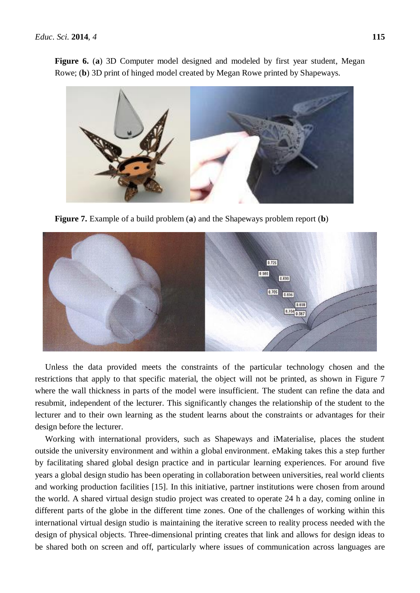**Figure 6.** (**a**) 3D Computer model designed and modeled by first year student, Megan Rowe; (**b**) 3D print of hinged model created by Megan Rowe printed by Shapeways.



**Figure 7.** Example of a build problem (**a**) and the Shapeways problem report (**b**)



Unless the data provided meets the constraints of the particular technology chosen and the restrictions that apply to that specific material, the object will not be printed, as shown in Figure 7 where the wall thickness in parts of the model were insufficient. The student can refine the data and resubmit, independent of the lecturer. This significantly changes the relationship of the student to the lecturer and to their own learning as the student learns about the constraints or advantages for their design before the lecturer.

Working with international providers, such as Shapeways and iMaterialise, places the student outside the university environment and within a global environment. eMaking takes this a step further by facilitating shared global design practice and in particular learning experiences. For around five years a global design studio has been operating in collaboration between universities, real world clients and working production facilities [15]. In this initiative, partner institutions were chosen from around the world. A shared virtual design studio project was created to operate 24 h a day, coming online in different parts of the globe in the different time zones. One of the challenges of working within this international virtual design studio is maintaining the iterative screen to reality process needed with the design of physical objects. Three-dimensional printing creates that link and allows for design ideas to be shared both on screen and off, particularly where issues of communication across languages are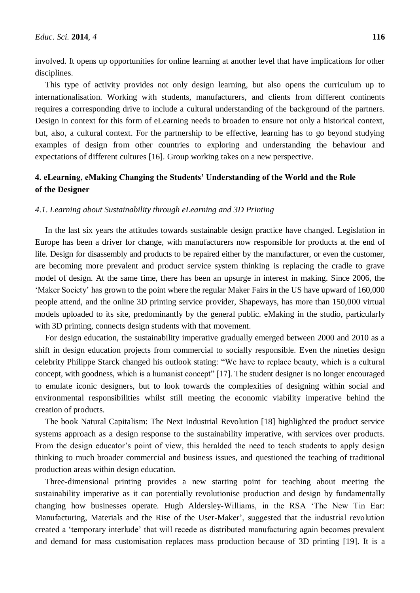involved. It opens up opportunities for online learning at another level that have implications for other disciplines.

This type of activity provides not only design learning, but also opens the curriculum up to internationalisation. Working with students, manufacturers, and clients from different continents requires a corresponding drive to include a cultural understanding of the background of the partners. Design in context for this form of eLearning needs to broaden to ensure not only a historical context, but, also, a cultural context. For the partnership to be effective, learning has to go beyond studying examples of design from other countries to exploring and understanding the behaviour and expectations of different cultures [16]. Group working takes on a new perspective.

# **4. eLearning, eMaking Changing the Students' Understanding of the World and the Role of the Designer**

# *4*.*1*. *Learning about Sustainability through eLearning and 3D Printing*

In the last six years the attitudes towards sustainable design practice have changed. Legislation in Europe has been a driver for change, with manufacturers now responsible for products at the end of life. Design for disassembly and products to be repaired either by the manufacturer, or even the customer, are becoming more prevalent and product service system thinking is replacing the cradle to grave model of design. At the same time, there has been an upsurge in interest in making. Since 2006, the 'Maker Society' has grown to the point where the regular Maker Fairs in the US have upward of 160,000 people attend, and the online 3D printing service provider, Shapeways, has more than 150,000 virtual models uploaded to its site, predominantly by the general public. eMaking in the studio, particularly with 3D printing, connects design students with that movement.

For design education, the sustainability imperative gradually emerged between 2000 and 2010 as a shift in design education projects from commercial to socially responsible. Even the nineties design celebrity Philippe Starck changed his outlook stating: "We have to replace beauty, which is a cultural concept, with goodness, which is a humanist concept" [17]. The student designer is no longer encouraged to emulate iconic designers, but to look towards the complexities of designing within social and environmental responsibilities whilst still meeting the economic viability imperative behind the creation of products.

The book Natural Capitalism: The Next Industrial Revolution [18] highlighted the product service systems approach as a design response to the sustainability imperative, with services over products. From the design educator's point of view, this heralded the need to teach students to apply design thinking to much broader commercial and business issues, and questioned the teaching of traditional production areas within design education.

Three-dimensional printing provides a new starting point for teaching about meeting the sustainability imperative as it can potentially revolutionise production and design by fundamentally changing how businesses operate. Hugh Aldersley-Williams, in the RSA 'The New Tin Ear: Manufacturing, Materials and the Rise of the User-Maker', suggested that the industrial revolution created a 'temporary interlude' that will recede as distributed manufacturing again becomes prevalent and demand for mass customisation replaces mass production because of 3D printing [19]. It is a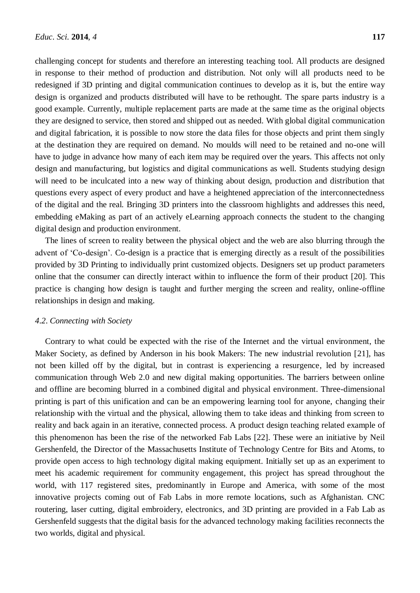challenging concept for students and therefore an interesting teaching tool. All products are designed in response to their method of production and distribution. Not only will all products need to be redesigned if 3D printing and digital communication continues to develop as it is, but the entire way design is organized and products distributed will have to be rethought. The spare parts industry is a good example. Currently, multiple replacement parts are made at the same time as the original objects they are designed to service, then stored and shipped out as needed. With global digital communication and digital fabrication, it is possible to now store the data files for those objects and print them singly at the destination they are required on demand. No moulds will need to be retained and no-one will have to judge in advance how many of each item may be required over the years. This affects not only design and manufacturing, but logistics and digital communications as well. Students studying design will need to be inculcated into a new way of thinking about design, production and distribution that questions every aspect of every product and have a heightened appreciation of the interconnectedness of the digital and the real. Bringing 3D printers into the classroom highlights and addresses this need, embedding eMaking as part of an actively eLearning approach connects the student to the changing digital design and production environment.

The lines of screen to reality between the physical object and the web are also blurring through the advent of 'Co-design'. Co-design is a practice that is emerging directly as a result of the possibilities provided by 3D Printing to individually print customized objects. Designers set up product parameters online that the consumer can directly interact within to influence the form of their product [20]. This practice is changing how design is taught and further merging the screen and reality, online-offline relationships in design and making.

# *4*.*2*. *Connecting with Society*

Contrary to what could be expected with the rise of the Internet and the virtual environment, the Maker Society, as defined by Anderson in his book Makers: The new industrial revolution [21], has not been killed off by the digital, but in contrast is experiencing a resurgence, led by increased communication through Web 2.0 and new digital making opportunities. The barriers between online and offline are becoming blurred in a combined digital and physical environment. Three-dimensional printing is part of this unification and can be an empowering learning tool for anyone, changing their relationship with the virtual and the physical, allowing them to take ideas and thinking from screen to reality and back again in an iterative, connected process. A product design teaching related example of this phenomenon has been the rise of the networked Fab Labs [22]. These were an initiative by Neil Gershenfeld, the Director of the Massachusetts Institute of Technology Centre for Bits and Atoms, to provide open access to high technology digital making equipment. Initially set up as an experiment to meet his academic requirement for community engagement, this project has spread throughout the world, with 117 registered sites, predominantly in Europe and America, with some of the most innovative projects coming out of Fab Labs in more remote locations, such as Afghanistan. CNC routering, laser cutting, digital embroidery, electronics, and 3D printing are provided in a Fab Lab as Gershenfeld suggests that the digital basis for the advanced technology making facilities reconnects the two worlds, digital and physical.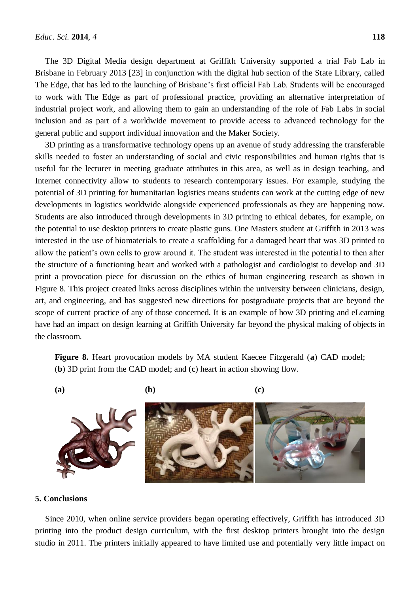The 3D Digital Media design department at Griffith University supported a trial Fab Lab in Brisbane in February 2013 [23] in conjunction with the digital hub section of the State Library, called The Edge, that has led to the launching of Brisbane's first official Fab Lab. Students will be encouraged to work with The Edge as part of professional practice, providing an alternative interpretation of industrial project work, and allowing them to gain an understanding of the role of Fab Labs in social inclusion and as part of a worldwide movement to provide access to advanced technology for the general public and support individual innovation and the Maker Society.

3D printing as a transformative technology opens up an avenue of study addressing the transferable skills needed to foster an understanding of social and civic responsibilities and human rights that is useful for the lecturer in meeting graduate attributes in this area, as well as in design teaching, and Internet connectivity allow to students to research contemporary issues. For example, studying the potential of 3D printing for humanitarian logistics means students can work at the cutting edge of new developments in logistics worldwide alongside experienced professionals as they are happening now. Students are also introduced through developments in 3D printing to ethical debates, for example, on the potential to use desktop printers to create plastic guns. One Masters student at Griffith in 2013 was interested in the use of biomaterials to create a scaffolding for a damaged heart that was 3D printed to allow the patient's own cells to grow around it. The student was interested in the potential to then alter the structure of a functioning heart and worked with a pathologist and cardiologist to develop and 3D print a provocation piece for discussion on the ethics of human engineering research as shown in Figure 8. This project created links across disciplines within the university between clinicians, design, art, and engineering, and has suggested new directions for postgraduate projects that are beyond the scope of current practice of any of those concerned. It is an example of how 3D printing and eLearning have had an impact on design learning at Griffith University far beyond the physical making of objects in the classroom.

**Figure 8.** Heart provocation models by MA student Kaecee Fitzgerald (**a**) CAD model; (**b**) 3D print from the CAD model; and (**c**) heart in action showing flow.



# **5. Conclusions**

Since 2010, when online service providers began operating effectively, Griffith has introduced 3D printing into the product design curriculum, with the first desktop printers brought into the design studio in 2011. The printers initially appeared to have limited use and potentially very little impact on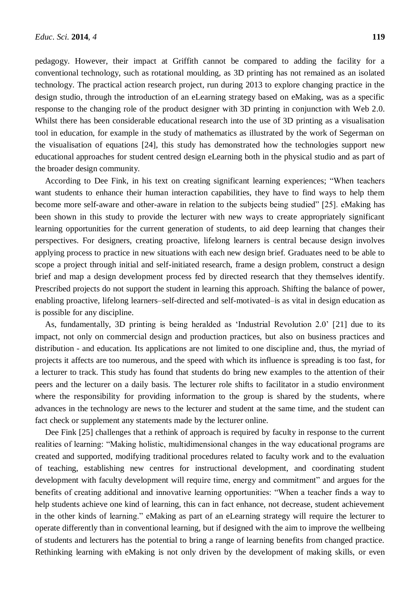pedagogy. However, their impact at Griffith cannot be compared to adding the facility for a conventional technology, such as rotational moulding, as 3D printing has not remained as an isolated technology. The practical action research project, run during 2013 to explore changing practice in the design studio, through the introduction of an eLearning strategy based on eMaking, was as a specific response to the changing role of the product designer with 3D printing in conjunction with Web 2.0. Whilst there has been considerable educational research into the use of 3D printing as a visualisation tool in education, for example in the study of mathematics as illustrated by the work of Segerman on the visualisation of equations [24], this study has demonstrated how the technologies support new educational approaches for student centred design eLearning both in the physical studio and as part of the broader design community.

According to Dee Fink, in his text on creating significant learning experiences; "When teachers want students to enhance their human interaction capabilities, they have to find ways to help them become more self-aware and other-aware in relation to the subjects being studied" [25]. eMaking has been shown in this study to provide the lecturer with new ways to create appropriately significant learning opportunities for the current generation of students, to aid deep learning that changes their perspectives. For designers, creating proactive, lifelong learners is central because design involves applying process to practice in new situations with each new design brief. Graduates need to be able to scope a project through initial and self-initiated research, frame a design problem, construct a design brief and map a design development process fed by directed research that they themselves identify. Prescribed projects do not support the student in learning this approach. Shifting the balance of power, enabling proactive, lifelong learners–self-directed and self-motivated–is as vital in design education as is possible for any discipline.

As, fundamentally, 3D printing is being heralded as 'Industrial Revolution 2.0' [21] due to its impact, not only on commercial design and production practices, but also on business practices and distribution - and education. Its applications are not limited to one discipline and, thus, the myriad of projects it affects are too numerous, and the speed with which its influence is spreading is too fast, for a lecturer to track. This study has found that students do bring new examples to the attention of their peers and the lecturer on a daily basis. The lecturer role shifts to facilitator in a studio environment where the responsibility for providing information to the group is shared by the students, where advances in the technology are news to the lecturer and student at the same time, and the student can fact check or supplement any statements made by the lecturer online.

Dee Fink [25] challenges that a rethink of approach is required by faculty in response to the current realities of learning: "Making holistic, multidimensional changes in the way educational programs are created and supported, modifying traditional procedures related to faculty work and to the evaluation of teaching, establishing new centres for instructional development, and coordinating student development with faculty development will require time, energy and commitment" and argues for the benefits of creating additional and innovative learning opportunities: "When a teacher finds a way to help students achieve one kind of learning, this can in fact enhance, not decrease, student achievement in the other kinds of learning." eMaking as part of an eLearning strategy will require the lecturer to operate differently than in conventional learning, but if designed with the aim to improve the wellbeing of students and lecturers has the potential to bring a range of learning benefits from changed practice. Rethinking learning with eMaking is not only driven by the development of making skills, or even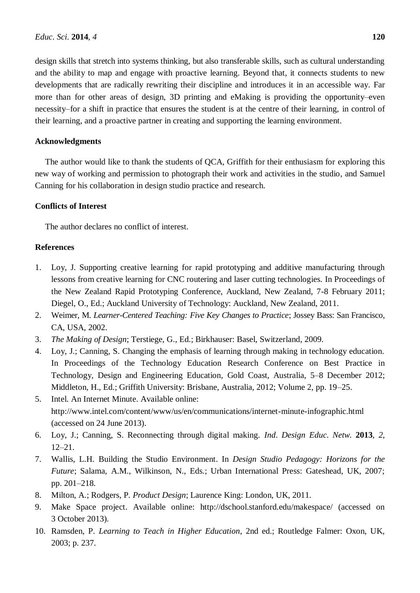design skills that stretch into systems thinking, but also transferable skills, such as cultural understanding and the ability to map and engage with proactive learning. Beyond that, it connects students to new developments that are radically rewriting their discipline and introduces it in an accessible way. Far more than for other areas of design, 3D printing and eMaking is providing the opportunity–even necessity–for a shift in practice that ensures the student is at the centre of their learning, in control of their learning, and a proactive partner in creating and supporting the learning environment.

# **Acknowledgments**

The author would like to thank the students of QCA, Griffith for their enthusiasm for exploring this new way of working and permission to photograph their work and activities in the studio, and Samuel Canning for his collaboration in design studio practice and research.

# **Conflicts of Interest**

The author declares no conflict of interest.

# **References**

- 1. Loy, J. Supporting creative learning for rapid prototyping and additive manufacturing through lessons from creative learning for CNC routering and laser cutting technologies. In Proceedings of the New Zealand Rapid Prototyping Conference, Auckland, New Zealand, 7-8 February 2011; Diegel, O., Ed.; Auckland University of Technology: Auckland, New Zealand, 2011.
- 2. Weimer, M. *Learner-Centered Teaching: Five Key Changes to Practice*; Jossey Bass: San Francisco, CA, USA, 2002.
- 3. *The Making of Design*; Terstiege, G., Ed.; Birkhauser: Basel, Switzerland, 2009.
- 4. Loy, J.; Canning, S. Changing the emphasis of learning through making in technology education. In Proceedings of the Technology Education Research Conference on Best Practice in Technology, Design and Engineering Education, Gold Coast, Australia, 5–8 December 2012; Middleton, H., Ed.; Griffith University: Brisbane, Australia, 2012; Volume 2, pp. 19–25.
- 5. Intel. An Internet Minute. Available online: http://www.intel.com/content/www/us/en/communications/internet-minute-infographic.html (accessed on 24 June 2013).
- 6. Loy, J.; Canning, S. Reconnecting through digital making. *Ind*. *Design Educ*. *Netw*. **2013**, *2*, 12–21.
- 7. Wallis, L.H. [Building the Studio Environment.](http://ecite.utas.edu.au/51481) In *Design Studio Pedagogy: Horizons for the Future*; Salama, A.M., Wilkinson, N., Eds.; Urban International Press: Gateshead, UK, 2007; pp. 201–218.
- 8. Milton, A.; Rodgers, P. *Product Design*; Laurence King: London, UK, 2011.
- 9. Make Space project. Available online: http://dschool.stanford.edu/makespace/ (accessed on 3 October 2013).
- 10. Ramsden, P. *Learning to Teach in Higher Education*, 2nd ed.; Routledge Falmer: Oxon, UK, 2003; p. 237.